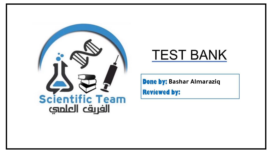

# **TEST BANK**

**Bone by: Bashar Almaraziq** 

**Reviewed by:**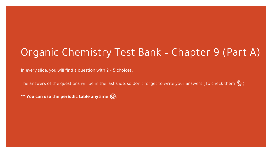# Organic Chemistry Test Bank – Chapter 9 (Part A)

In every slide, you will find a question with 2 – 5 choices.

The answers of the questions will be in the last slide, so don't forget to write your answers (To check them  $\mathcal{B}$ ).

**\*\*\* You can use the periodic table anytime .**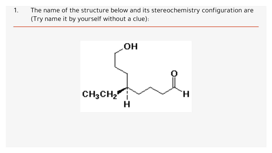1. The name of the structure below and its stereochemistry configuration are (Try name it by yourself without a clue):

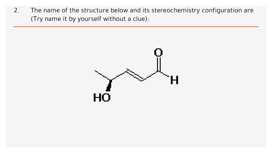2. The name of the structure below and its stereochemistry configuration are (Try name it by yourself without a clue):

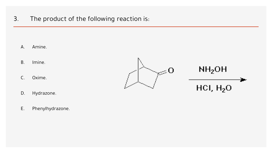3. The product of the following reaction is:

A. Amine.

- B. Imine.
- C. Oxime.
- D. Hydrazone.
- E. Phenylhydrazone.



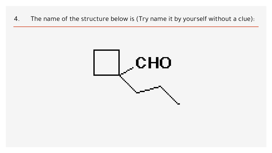4. The name of the structure below is (Try name it by yourself without a clue):

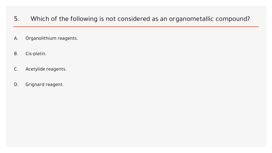- 5. Which of the following is not considered as an organometallic compound?
- A. Organolithium reagents.
- B. Cis-platin.
- C. Acetylide reagents.
- D. Grignard reagent.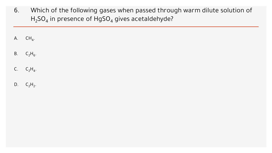- 6. Which of the following gases when passed through warm dilute solution of  $H_2$ SO<sub>4</sub> in presence of HgSO<sub>4</sub> gives acetaldehyde?
- $A.$  CH<sub>4</sub>.
- B.  $C_2H_6$ .
- C.  $C_2H_4$ .
- D.  $C_2H_2$ .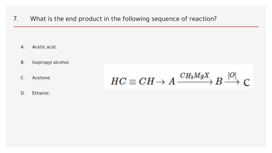7. What is the end product in the following sequence of reaction?

- A. Acetic acid.
- B. Isopropyl alcohol.
- C. Acetone.

$$
HC \equiv CH \rightarrow A \xrightarrow{CH_3MgX} B \xrightarrow{[O]} C
$$

D. Ethanol.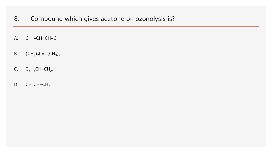- 8. Compound which gives acetone on ozonolysis is?
- $\mathsf{A.}$  CH<sub>3</sub>−CH=CH−CH<sub>3</sub>.
- B.  $(CH_3)_2C=C(CH_3)_2.$
- C.  $C_6H_5CH=CH_2$ .
- D.  $CH_3CH=CH_2$ .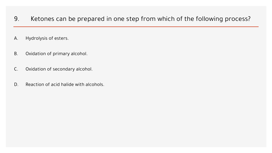- 9. Ketones can be prepared in one step from which of the following process?
- A. Hydrolysis of esters.
- B. Oxidation of primary alcohol.
- C. Oxidation of secondary alcohol.
- D. Reaction of acid halide with alcohols.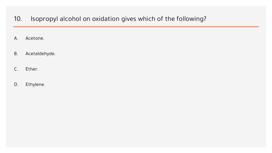#### 10. Isopropyl alcohol on oxidation gives which of the following?

- A. Acetone.
- B. Acetaldehyde.
- C. Ether.
- D. Ethylene.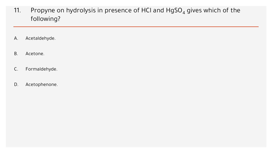- 11. Propyne on hydrolysis in presence of HCI and  $HgSO_4$  gives which of the following?
- A. Acetaldehyde.
- B. Acetone.
- C. Formaldehyde.
- D. Acetophenone.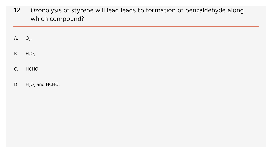12. Ozonolysis of styrene will lead leads to formation of benzaldehyde along which compound?

A.  $O_2$ .

- B.  $H_2O_2$ .
- C. HCHO.
- D.  $H_2O_2$  and HCHO.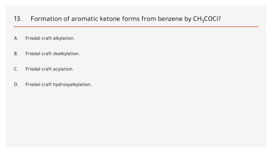### 13. Formation of aromatic ketone forms from benzene by  $CH<sub>3</sub>COCl$ ?

- A. Friedal craft alkylation.
- B. Friedal craft dealkylation.
- C. Friedal craft acylation.
- D. Friedal craft hydroxyalkylation.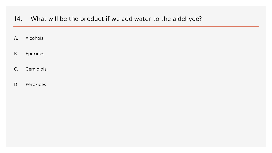- 14. What will be the product if we add water to the aldehyde?
- A. Alcohols.
- B. Epoxides.
- C. Gem diols.
- D. Peroxides.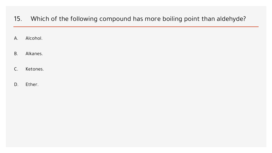- 15. Which of the following compound has more boiling point than aldehyde?
- A. Alcohol.
- B. Alkanes.
- C. Ketones.
- D. Ether.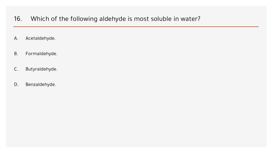- 16. Which of the following aldehyde is most soluble in water?
- A. Acetaldehyde.
- B. Formaldehyde.
- C. Butyraldehyde.
- D. Benzaldehyde.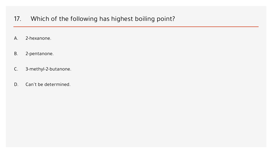## 17. Which of the following has highest boiling point?

- A. 2-hexanone.
- B. 2-pentanone.
- C. 3-methyl-2-butanone.
- D. Can't be determined.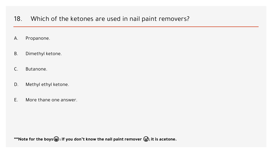- 18. Which of the ketones are used in nail paint removers?
- A. Propanone.
- B. Dimethyl ketone.
- C. Butanone.
- D. Methyl ethyl ketone.
- E. More thane one answer.

**\*\*\*Note for the boys**  $\circledast$ : If you don't know the nail paint remover  $\circledast$ ; it is acetone.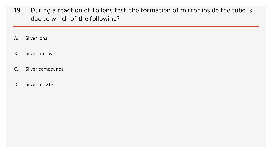- 19. During a reaction of Tollens test, the formation of mirror inside the tube is due to which of the following?
- A. Silver ions.
- B. Silver atoms.
- C. Silver compounds.
- D. Silver nitrate.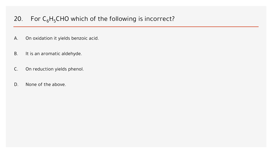# 20. For  $C_6H_5CHO$  which of the following is incorrect?

- A. On oxidation it yields benzoic acid.
- B. It is an aromatic aldehyde.
- C. On reduction yields phenol.
- D. None of the above.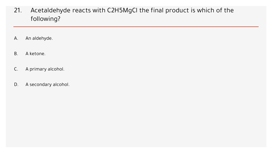- 21. Acetaldehyde reacts with C2H5MgCl the final product is which of the following?
- A. An aldehyde.
- B. A ketone.
- C. A primary alcohol.
- D. A secondary alcohol.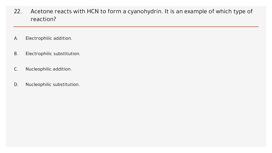- 22. Acetone reacts with HCN to form a cyanohydrin. It is an example of which type of reaction?
- A. Electrophilic addition.
- B. Electrophilic substitution.
- C. Nucleophilic addition.
- D. Nucleophilic substitution.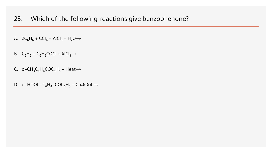- 23. Which of the following reactions give benzophenone?
- A.  $2C_6H_6 + CCl_4 + AICI_3 + H_2O →$
- B.  $C_6H_6 + C_6H_5COCl + AICI_3 \rightarrow$
- C. o–CH<sub>3</sub>C<sub>6</sub>H<sub>4</sub>COC<sub>6</sub>H<sub>5</sub> + Heat→
- D. o–HOOC–C<sub>6</sub>H<sub>4</sub>–COC<sub>6</sub>H<sub>5</sub> + Cu<sub>2</sub>60oC→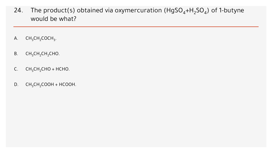- 24. The product(s) obtained via oxymercuration ( $H$ gSO<sub>4</sub>+H<sub>2</sub>SO<sub>4</sub>) of 1-butyne would be what?
- A.  $CH_3CH_2COCH_3$ .
- B.  $CH_3CH_2CH_2CHO$ .
- C.  $CH_3CH_2CHO + HCHO$ .
- D.  $CH_3CH_2COOH + HCOOH$ .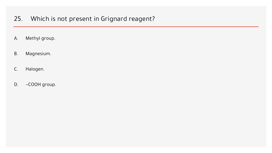# 25. Which is not present in Grignard reagent?

- A. Methyl group.
- B. Magnesium.
- C. Halogen.
- D. –COOH group.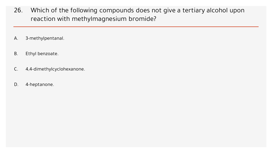- 26. Which of the following compounds does not give a tertiary alcohol upon reaction with methylmagnesium bromide?
- A. 3-methylpentanal.
- B. Ethyl benzoate.
- C. 4,4-dimethylcyclohexanone.
- D. 4-heptanone.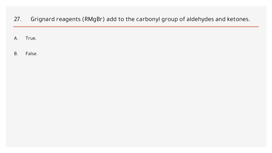27. Grignard reagents (RMgBr) add to the carbonyl group of aldehydes and ketones.

A. True.

B. False.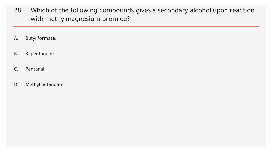- 28. Which of the following compounds gives a secondary alcohol upon reaction with methylmagnesium bromide?
- A. Butyl formate.
- B. 3- pentanone.
- C. Pentanal.
- D. Methyl butanoate.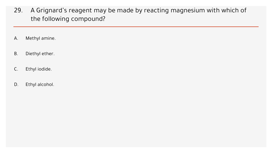- 29. A Grignard's reagent may be made by reacting magnesium with which of the following compound?
- A. Methyl amine.
- B. Diethyl ether.
- C. Ethyl iodide.
- D. Ethyl alcohol.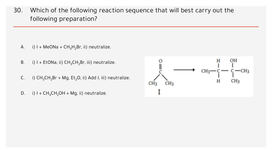30. Which of the following reaction sequence that will best carry out the following preparation?

- A. i)  $I + MeONa + CH_3H_2Br$ , ii) neutralize.
- B. i) I + EtONa, ii)  $CH_3CH_2Br$ , iii) neutralize.
- C. i)  $CH_3CH_2Br + Mg$ , Et<sub>2</sub>O, ii) Add I, iii) neutralize.
- D. i)  $I + CH_3CH_2OH + Mg$ , ii) neutralize.

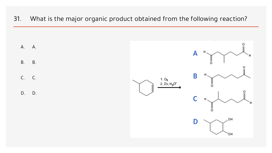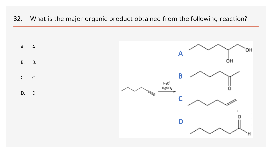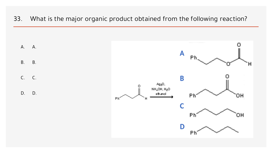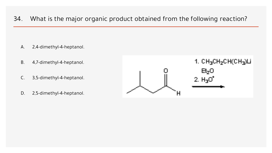- A. 2,4-dimethyl-4-heptanol.
- B. 4,7-dimethyl-4-heptanol.
- C. 3,5-dimethyl-4-heptanol.
- D. 2,5-dimethyl-4-heptanol.

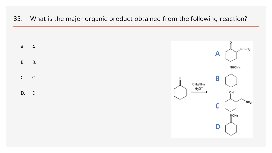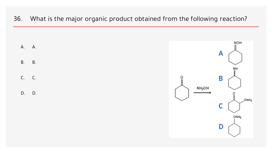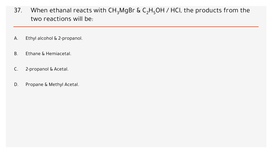- 37. When ethanal reacts with  $CH_3MgBr$  &  $C_2H_5OH$  / HCl, the products from the two reactions will be:
- A. Ethyl alcohol & 2-propanol.
- B. Ethane & Hemiacetal.
- C. 2-propanol & Acetal.
- D. Propane & Methyl Acetal.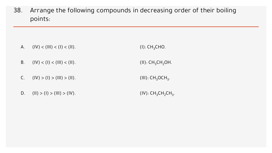38. Arrange the following compounds in decreasing order of their boiling points:

- A.  $(|V| < (||I|) < (1) < (||I||)$ .  $(I): CH<sub>3</sub>CHO.$
- B.  $(|V| < (1) < (11) < (11)$ .
- C.  $(|V| > (1) > (11) > (111)$ .
- D. (II) > (I) > (III) > (IV).

 $(II): CH<sub>3</sub>CH<sub>2</sub>OH.$ 

```
(III): CH<sub>3</sub>OCH<sub>3</sub>.
```

```
(IV): CH_{3}CH_{2}CH_{3}.
```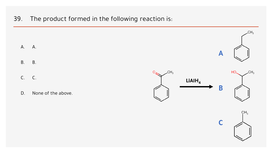39. The product formed in the following reaction is:

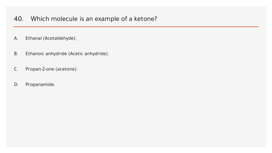### 40. Which molecule is an example of a ketone?

- A. Ethanal (Acetaldehyde).
- B. Ethanoic anhydride (Acetic anhydride).
- C. Propan-2-one (acetone).
- D. Propanamide.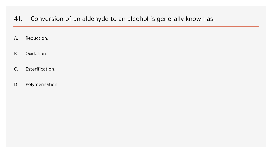#### 41. Conversion of an aldehyde to an alcohol is generally known as:

- A. Reduction.
- B. Oxidation.
- C. Esterification.
- D. Polymerisation.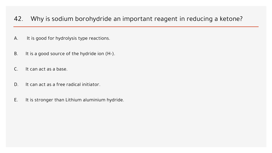#### 42. Why is sodium borohydride an important reagent in reducing a ketone?

- A. It is good for hydrolysis type reactions.
- B. It is a good source of the hydride ion (H-).
- C. It can act as a base.
- D. It can act as a free radical initiator.
- E. It is stronger than Lithium aluminium hydride.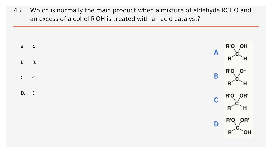43. Which is normally the main product when a mixture of aldehyde RCHO and an excess of alcohol R'OH is treated with an acid catalyst?

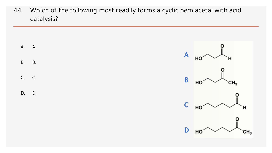44. Which of the following most readily forms a cyclic hemiacetal with acid catalysis?

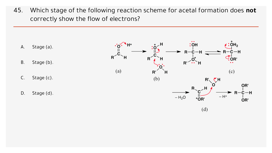45. Which stage of the following reaction scheme for acetal formation does **not** correctly show the flow of electrons?